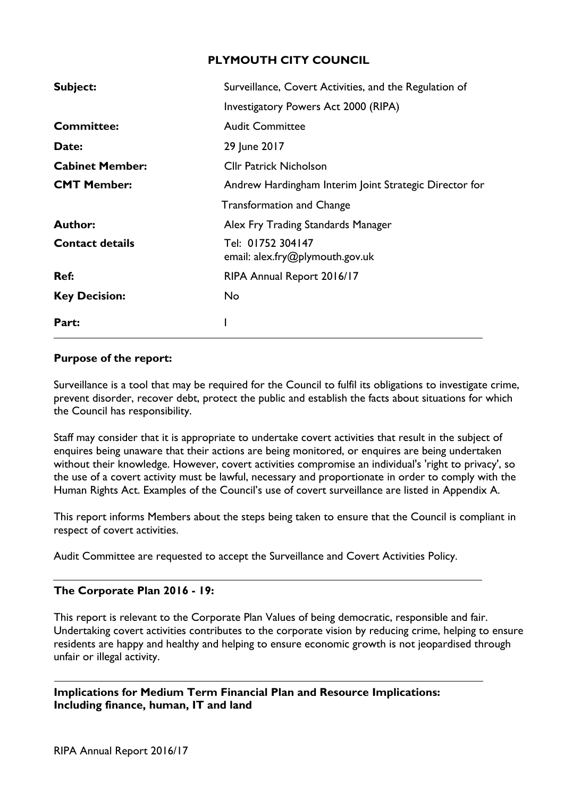# **PLYMOUTH CITY COUNCIL**

| Subject:               | Surveillance, Covert Activities, and the Regulation of |  |  |  |  |  |  |
|------------------------|--------------------------------------------------------|--|--|--|--|--|--|
|                        | Investigatory Powers Act 2000 (RIPA)                   |  |  |  |  |  |  |
| <b>Committee:</b>      | <b>Audit Committee</b>                                 |  |  |  |  |  |  |
| Date:                  | 29 June 2017                                           |  |  |  |  |  |  |
| <b>Cabinet Member:</b> | <b>Cllr Patrick Nicholson</b>                          |  |  |  |  |  |  |
| <b>CMT Member:</b>     | Andrew Hardingham Interim Joint Strategic Director for |  |  |  |  |  |  |
|                        | <b>Transformation and Change</b>                       |  |  |  |  |  |  |
| <b>Author:</b>         | Alex Fry Trading Standards Manager                     |  |  |  |  |  |  |
| <b>Contact details</b> | Tel: 01752 304147<br>email: alex.fry@plymouth.gov.uk   |  |  |  |  |  |  |
| Ref:                   | RIPA Annual Report 2016/17                             |  |  |  |  |  |  |
| <b>Key Decision:</b>   | No                                                     |  |  |  |  |  |  |
| Part:                  |                                                        |  |  |  |  |  |  |

### **Purpose of the report:**

Surveillance is a tool that may be required for the Council to fulfil its obligations to investigate crime, prevent disorder, recover debt, protect the public and establish the facts about situations for which the Council has responsibility.

Staff may consider that it is appropriate to undertake covert activities that result in the subject of enquires being unaware that their actions are being monitored, or enquires are being undertaken without their knowledge. However, covert activities compromise an individual's 'right to privacy', so the use of a covert activity must be lawful, necessary and proportionate in order to comply with the Human Rights Act. Examples of the Council's use of covert surveillance are listed in Appendix A.

This report informs Members about the steps being taken to ensure that the Council is compliant in respect of covert activities.

Audit Committee are requested to accept the Surveillance and Covert Activities Policy.

## **The Corporate Plan 2016 - 19:**

This report is relevant to the Corporate Plan Values of being democratic, responsible and fair. Undertaking covert activities contributes to the corporate vision by reducing crime, helping to ensure residents are happy and healthy and helping to ensure economic growth is not jeopardised through unfair or illegal activity.

**Implications for Medium Term Financial Plan and Resource Implications: Including finance, human, IT and land**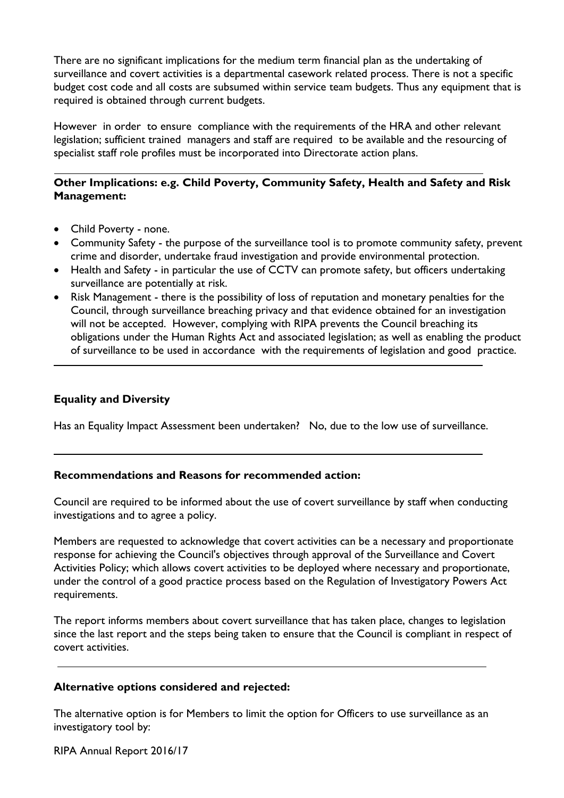There are no significant implications for the medium term financial plan as the undertaking of surveillance and covert activities is a departmental casework related process. There is not a specific budget cost code and all costs are subsumed within service team budgets. Thus any equipment that is required is obtained through current budgets.

However in order to ensure compliance with the requirements of the HRA and other relevant legislation; sufficient trained managers and staff are required to be available and the resourcing of specialist staff role profiles must be incorporated into Directorate action plans.

# **Other Implications: e.g. Child Poverty, Community Safety, Health and Safety and Risk Management:**

- Child Poverty none.
- Community Safety the purpose of the surveillance tool is to promote community safety, prevent crime and disorder, undertake fraud investigation and provide environmental protection.
- Health and Safety in particular the use of CCTV can promote safety, but officers undertaking surveillance are potentially at risk.
- Risk Management there is the possibility of loss of reputation and monetary penalties for the Council, through surveillance breaching privacy and that evidence obtained for an investigation will not be accepted. However, complying with RIPA prevents the Council breaching its obligations under the Human Rights Act and associated legislation; as well as enabling the product of surveillance to be used in accordance with the requirements of legislation and good practice.

## **Equality and Diversity**

Has an Equality Impact Assessment been undertaken? No, due to the low use of surveillance.

#### **Recommendations and Reasons for recommended action:**

Council are required to be informed about the use of covert surveillance by staff when conducting investigations and to agree a policy.

Members are requested to acknowledge that covert activities can be a necessary and proportionate response for achieving the Council's objectives through approval of the Surveillance and Covert Activities Policy; which allows covert activities to be deployed where necessary and proportionate, under the control of a good practice process based on the Regulation of Investigatory Powers Act requirements.

The report informs members about covert surveillance that has taken place, changes to legislation since the last report and the steps being taken to ensure that the Council is compliant in respect of covert activities.

#### **Alternative options considered and rejected:**

The alternative option is for Members to limit the option for Officers to use surveillance as an investigatory tool by:

RIPA Annual Report 2016/17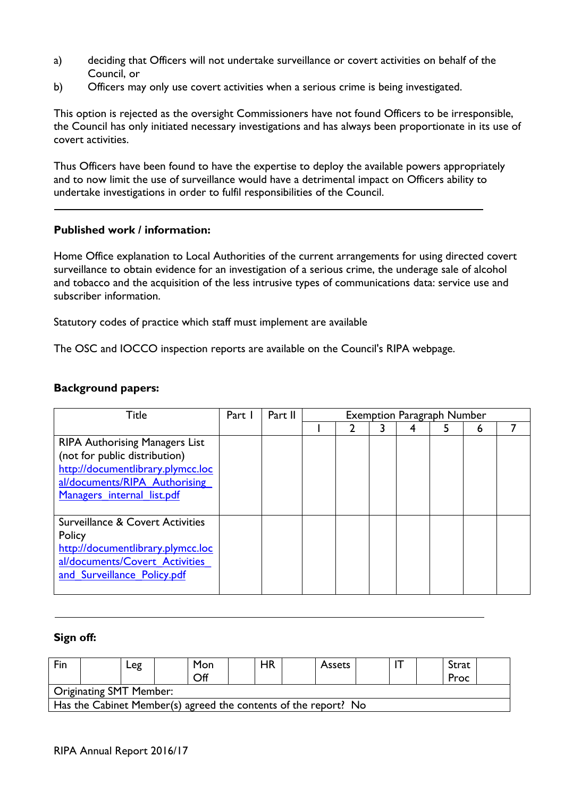- a) deciding that Officers will not undertake surveillance or covert activities on behalf of the Council, or
- b) Officers may only use covert activities when a serious crime is being investigated.

This option is rejected as the oversight Commissioners have not found Officers to be irresponsible, the Council has only initiated necessary investigations and has always been proportionate in its use of covert activities.

Thus Officers have been found to have the expertise to deploy the available powers appropriately and to now limit the use of surveillance would have a detrimental impact on Officers ability to undertake investigations in order to fulfil responsibilities of the Council.

### **Published work / information:**

Home Office explanation to Local Authorities of the current arrangements for using directed covert surveillance to obtain evidence for an investigation of a serious crime, the underage sale of alcohol and tobacco and the acquisition of the less intrusive types of communications data: service use and subscriber information.

Statutory codes of practice which staff must implement are available

The OSC and IOCCO inspection reports are available on the Council's RIPA webpage.

### **Background papers:**

| Title                                                                                                                                                                      | Part 1 | Part II | <b>Exemption Paragraph Number</b> |  |  |  |  |   |  |
|----------------------------------------------------------------------------------------------------------------------------------------------------------------------------|--------|---------|-----------------------------------|--|--|--|--|---|--|
|                                                                                                                                                                            |        |         |                                   |  |  |  |  | 6 |  |
| <b>RIPA Authorising Managers List</b><br>(not for public distribution)<br>http://documentlibrary.plymcc.loc<br>al/documents/RIPA Authorising<br>Managers internal list.pdf |        |         |                                   |  |  |  |  |   |  |
| Surveillance & Covert Activities<br>Policy<br>http://documentlibrary.plymcc.loc<br>al/documents/Covert Activities<br>and Surveillance Policy.pdf                           |        |         |                                   |  |  |  |  |   |  |

#### **Sign off:**

| Fin                                                             |  | _eg |  | Mon<br>Off |  | HR |  | <b>Assets</b> |  |  |  | Strat<br>Proc |  |
|-----------------------------------------------------------------|--|-----|--|------------|--|----|--|---------------|--|--|--|---------------|--|
| <b>Originating SMT Member:</b>                                  |  |     |  |            |  |    |  |               |  |  |  |               |  |
| Has the Cabinet Member(s) agreed the contents of the report? No |  |     |  |            |  |    |  |               |  |  |  |               |  |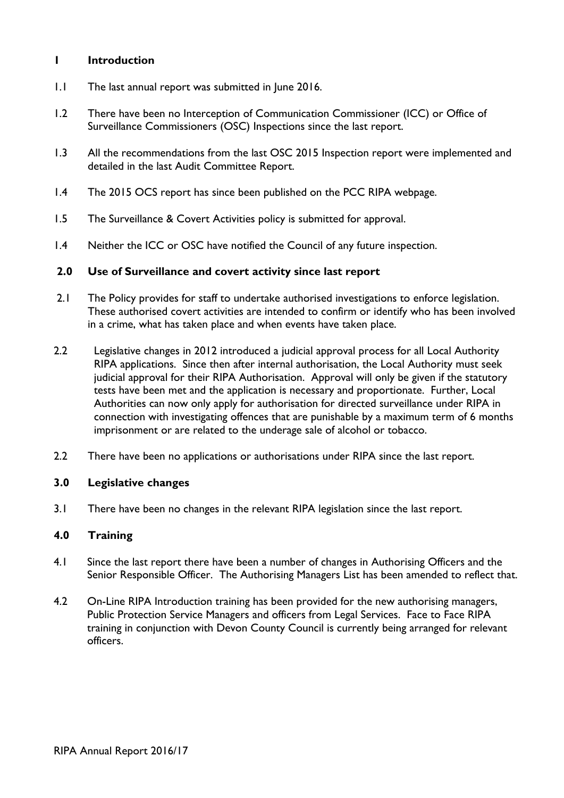## **1 Introduction**

- 1.1 The last annual report was submitted in June 2016.
- 1.2 There have been no Interception of Communication Commissioner (ICC) or Office of Surveillance Commissioners (OSC) Inspections since the last report.
- 1.3 All the recommendations from the last OSC 2015 Inspection report were implemented and detailed in the last Audit Committee Report.
- 1.4 The 2015 OCS report has since been published on the PCC RIPA webpage.
- 1.5 The Surveillance & Covert Activities policy is submitted for approval.
- 1.4 Neither the ICC or OSC have notified the Council of any future inspection.

#### **2.0 Use of Surveillance and covert activity since last report**

- 2.1 The Policy provides for staff to undertake authorised investigations to enforce legislation. These authorised covert activities are intended to confirm or identify who has been involved in a crime, what has taken place and when events have taken place.
- 2.2 Legislative changes in 2012 introduced a judicial approval process for all Local Authority RIPA applications. Since then after internal authorisation, the Local Authority must seek judicial approval for their RIPA Authorisation. Approval will only be given if the statutory tests have been met and the application is necessary and proportionate. Further, Local Authorities can now only apply for authorisation for directed surveillance under RIPA in connection with investigating offences that are punishable by a maximum term of 6 months imprisonment or are related to the underage sale of alcohol or tobacco.
- 2.2 There have been no applications or authorisations under RIPA since the last report.

#### **3.0 Legislative changes**

3.1 There have been no changes in the relevant RIPA legislation since the last report.

#### **4.0 Training**

- 4.1 Since the last report there have been a number of changes in Authorising Officers and the Senior Responsible Officer. The Authorising Managers List has been amended to reflect that.
- 4.2 On-Line RIPA Introduction training has been provided for the new authorising managers, Public Protection Service Managers and officers from Legal Services. Face to Face RIPA training in conjunction with Devon County Council is currently being arranged for relevant officers.